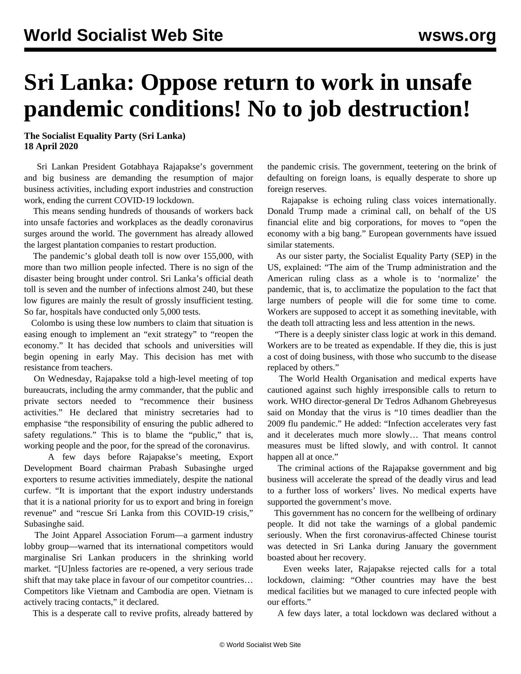## **Sri Lanka: Oppose return to work in unsafe pandemic conditions! No to job destruction!**

**The Socialist Equality Party (Sri Lanka) 18 April 2020**

 Sri Lankan President Gotabhaya Rajapakse's government and big business are demanding the resumption of major business activities, including export industries and construction work, ending the current COVID-19 lockdown.

 This means sending hundreds of thousands of workers back into unsafe factories and workplaces as the deadly coronavirus surges around the world. The government has already allowed the largest plantation companies to restart production.

 The pandemic's global death toll is now over 155,000, with more than two million people infected. There is no sign of the disaster being brought under control. Sri Lanka's official death toll is seven and the number of infections almost 240, but these low figures are mainly the result of grossly insufficient testing. So far, hospitals have conducted only 5,000 tests.

 Colombo is using these low numbers to claim that situation is easing enough to implement an "exit strategy" to "reopen the economy." It has decided that schools and universities will begin opening in early May. This decision has met with resistance from teachers.

 On Wednesday, Rajapakse told a high-level meeting of top bureaucrats, including the army commander, that the public and private sectors needed to "recommence their business activities." He declared that ministry secretaries had to emphasise "the responsibility of ensuring the public adhered to safety regulations." This is to blame the "public," that is, working people and the poor, for the spread of the coronavirus.

 A few days before Rajapakse's meeting, Export Development Board chairman Prabash Subasinghe urged exporters to resume activities immediately, despite the national curfew. "It is important that the export industry understands that it is a national priority for us to export and bring in foreign revenue" and "rescue Sri Lanka from this COVID-19 crisis," Subasinghe said.

 The Joint Apparel Association Forum—a garment industry lobby group—warned that its international competitors would marginalise Sri Lankan producers in the shrinking world market. "[U]nless factories are re-opened, a very serious trade shift that may take place in favour of our competitor countries… Competitors like Vietnam and Cambodia are open. Vietnam is actively tracing contacts," it declared.

This is a desperate call to revive profits, already battered by

the pandemic crisis. The government, teetering on the brink of defaulting on foreign loans, is equally desperate to shore up foreign reserves.

 Rajapakse is echoing ruling class voices internationally. Donald Trump made a criminal call, on behalf of the US financial elite and big corporations, for moves to "open the economy with a big bang." European governments have issued similar statements.

 As our sister party, the Socialist Equality Party (SEP) in the US, [explained](/en/articles/2020/04/11/pers-a11.html): "The aim of the Trump administration and the American ruling class as a whole is to 'normalize' the pandemic, that is, to acclimatize the population to the fact that large numbers of people will die for some time to come. Workers are supposed to accept it as something inevitable, with the death toll attracting less and less attention in the news.

 "There is a deeply sinister class logic at work in this demand. Workers are to be treated as expendable. If they die, this is just a cost of doing business, with those who succumb to the disease replaced by others."

 The World Health Organisation and medical experts have cautioned against such highly irresponsible calls to return to work. WHO director-general Dr Tedros Adhanom Ghebreyesus said on Monday that the virus is "10 times deadlier than the 2009 flu pandemic." He added: "Infection accelerates very fast and it decelerates much more slowly… That means control measures must be lifted slowly, and with control. It cannot happen all at once."

 The criminal actions of the Rajapakse government and big business will accelerate the spread of the deadly virus and lead to a further loss of workers' lives. No medical experts have supported the government's move.

 This government has no concern for the wellbeing of ordinary people. It did not take the warnings of a global pandemic seriously. When the first coronavirus-affected Chinese tourist was detected in Sri Lanka during January the government boasted about her recovery.

 Even weeks later, Rajapakse rejected calls for a total lockdown, claiming: "Other countries may have the best medical facilities but we managed to cure infected people with our efforts."

A few days later, a total lockdown was declared without a